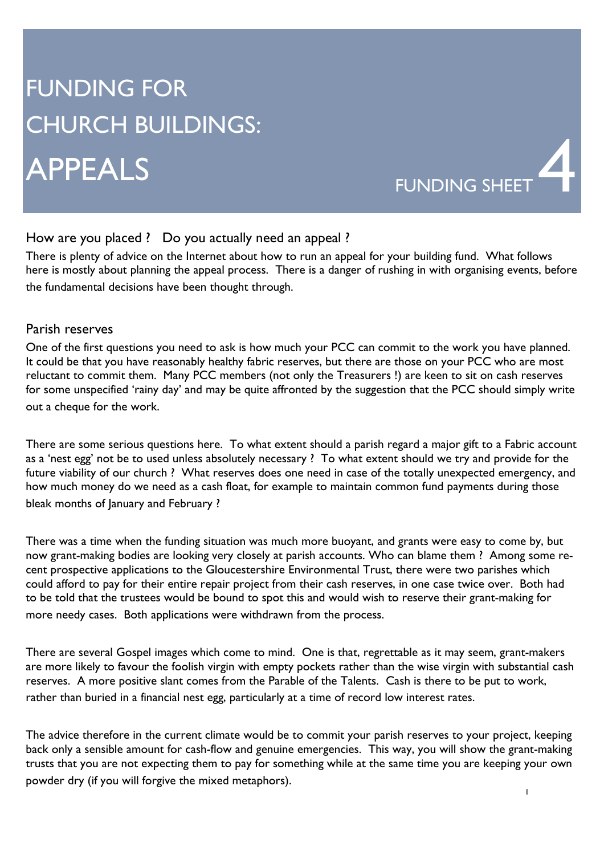# FUNDING FOR CHURCH BUILDINGS: APPEALS



## How are you placed ? Do you actually need an appeal ?

There is plenty of advice on the Internet about how to run an appeal for your building fund. What follows here is mostly about planning the appeal process. There is a danger of rushing in with organising events, before the fundamental decisions have been thought through.

#### Parish reserves

One of the first questions you need to ask is how much your PCC can commit to the work you have planned. It could be that you have reasonably healthy fabric reserves, but there are those on your PCC who are most reluctant to commit them. Many PCC members (not only the Treasurers !) are keen to sit on cash reserves for some unspecified 'rainy day' and may be quite affronted by the suggestion that the PCC should simply write out a cheque for the work.

There are some serious questions here. To what extent should a parish regard a major gift to a Fabric account as a 'nest egg' not be to used unless absolutely necessary ? To what extent should we try and provide for the future viability of our church ? What reserves does one need in case of the totally unexpected emergency, and how much money do we need as a cash float, for example to maintain common fund payments during those bleak months of January and February ?

There was a time when the funding situation was much more buoyant, and grants were easy to come by, but now grant-making bodies are looking very closely at parish accounts. Who can blame them ? Among some recent prospective applications to the Gloucestershire Environmental Trust, there were two parishes which could afford to pay for their entire repair project from their cash reserves, in one case twice over. Both had to be told that the trustees would be bound to spot this and would wish to reserve their grant-making for more needy cases. Both applications were withdrawn from the process.

There are several Gospel images which come to mind. One is that, regrettable as it may seem, grant-makers are more likely to favour the foolish virgin with empty pockets rather than the wise virgin with substantial cash reserves. A more positive slant comes from the Parable of the Talents. Cash is there to be put to work, rather than buried in a financial nest egg, particularly at a time of record low interest rates.

The advice therefore in the current climate would be to commit your parish reserves to your project, keeping back only a sensible amount for cash-flow and genuine emergencies. This way, you will show the grant-making trusts that you are not expecting them to pay for something while at the same time you are keeping your own powder dry (if you will forgive the mixed metaphors).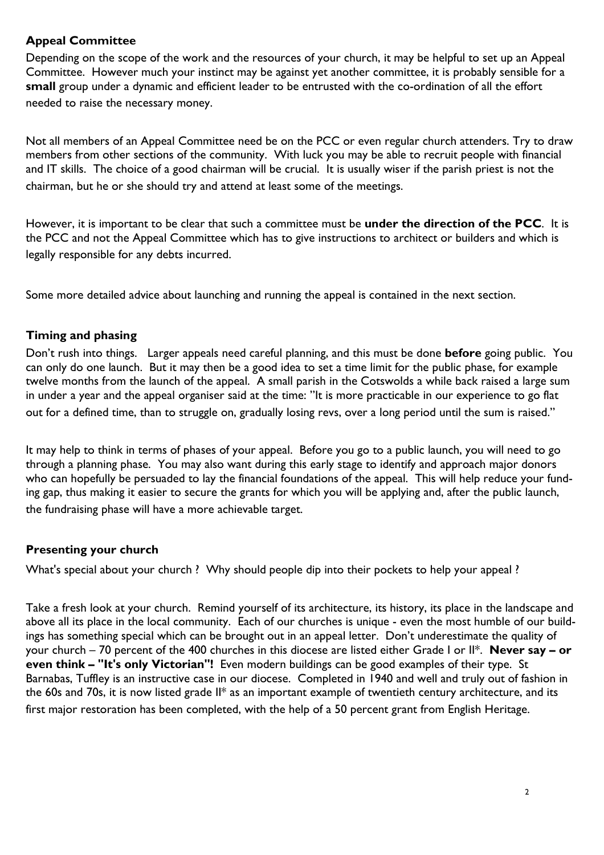## **Appeal Committee**

Depending on the scope of the work and the resources of your church, it may be helpful to set up an Appeal Committee. However much your instinct may be against yet another committee, it is probably sensible for a **small** group under a dynamic and efficient leader to be entrusted with the co-ordination of all the effort needed to raise the necessary money.

Not all members of an Appeal Committee need be on the PCC or even regular church attenders. Try to draw members from other sections of the community. With luck you may be able to recruit people with financial and IT skills. The choice of a good chairman will be crucial. It is usually wiser if the parish priest is not the chairman, but he or she should try and attend at least some of the meetings.

However, it is important to be clear that such a committee must be **under the direction of the PCC**. It is the PCC and not the Appeal Committee which has to give instructions to architect or builders and which is legally responsible for any debts incurred.

Some more detailed advice about launching and running the appeal is contained in the next section.

## **Timing and phasing**

Don't rush into things. Larger appeals need careful planning, and this must be done **before** going public. You can only do one launch. But it may then be a good idea to set a time limit for the public phase, for example twelve months from the launch of the appeal. A small parish in the Cotswolds a while back raised a large sum in under a year and the appeal organiser said at the time: "It is more practicable in our experience to go flat out for a defined time, than to struggle on, gradually losing revs, over a long period until the sum is raised."

It may help to think in terms of phases of your appeal. Before you go to a public launch, you will need to go through a planning phase. You may also want during this early stage to identify and approach major donors who can hopefully be persuaded to lay the financial foundations of the appeal. This will help reduce your funding gap, thus making it easier to secure the grants for which you will be applying and, after the public launch, the fundraising phase will have a more achievable target.

#### **Presenting your church**

What's special about your church ? Why should people dip into their pockets to help your appeal ?

Take a fresh look at your church. Remind yourself of its architecture, its history, its place in the landscape and above all its place in the local community. Each of our churches is unique - even the most humble of our buildings has something special which can be brought out in an appeal letter. Don't underestimate the quality of your church – 70 percent of the 400 churches in this diocese are listed either Grade I or II\*. **Never say – or even think – "It's only Victorian"!** Even modern buildings can be good examples of their type. St Barnabas, Tuffley is an instructive case in our diocese. Completed in 1940 and well and truly out of fashion in the 60s and 70s, it is now listed grade II\* as an important example of twentieth century architecture, and its first major restoration has been completed, with the help of a 50 percent grant from English Heritage.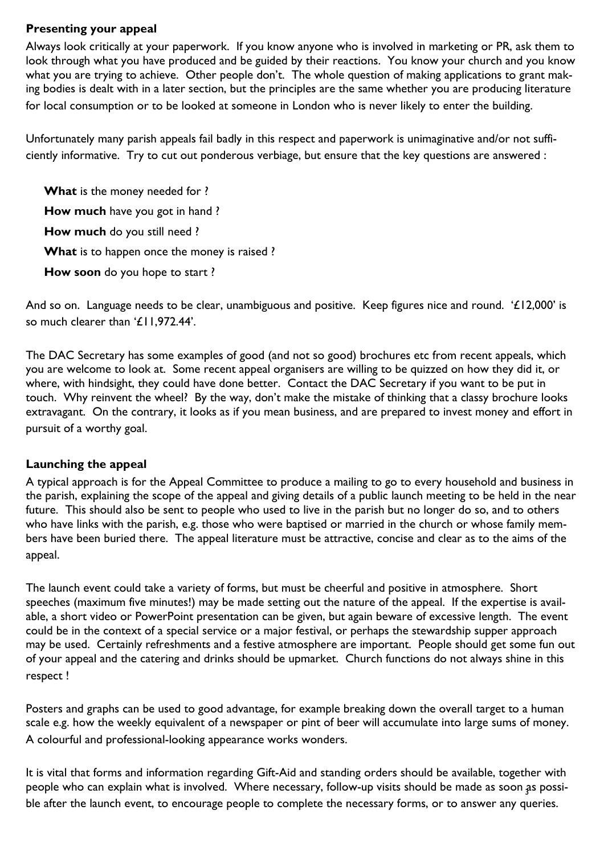#### **Presenting your appeal**

Always look critically at your paperwork. If you know anyone who is involved in marketing or PR, ask them to look through what you have produced and be guided by their reactions. You know your church and you know what you are trying to achieve. Other people don't. The whole question of making applications to grant making bodies is dealt with in a later section, but the principles are the same whether you are producing literature for local consumption or to be looked at someone in London who is never likely to enter the building.

Unfortunately many parish appeals fail badly in this respect and paperwork is unimaginative and/or not sufficiently informative. Try to cut out ponderous verbiage, but ensure that the key questions are answered :

**What** is the money needed for ? **How much** have you got in hand ? **How much** do you still need ? **What** is to happen once the money is raised ? **How soon** do you hope to start ?

And so on. Language needs to be clear, unambiguous and positive. Keep figures nice and round. '£12,000' is so much clearer than '£11,972.44'.

The DAC Secretary has some examples of good (and not so good) brochures etc from recent appeals, which you are welcome to look at. Some recent appeal organisers are willing to be quizzed on how they did it, or where, with hindsight, they could have done better. Contact the DAC Secretary if you want to be put in touch. Why reinvent the wheel? By the way, don't make the mistake of thinking that a classy brochure looks extravagant. On the contrary, it looks as if you mean business, and are prepared to invest money and effort in pursuit of a worthy goal.

## **Launching the appeal**

A typical approach is for the Appeal Committee to produce a mailing to go to every household and business in the parish, explaining the scope of the appeal and giving details of a public launch meeting to be held in the near future. This should also be sent to people who used to live in the parish but no longer do so, and to others who have links with the parish, e.g. those who were baptised or married in the church or whose family members have been buried there. The appeal literature must be attractive, concise and clear as to the aims of the appeal.

The launch event could take a variety of forms, but must be cheerful and positive in atmosphere. Short speeches (maximum five minutes!) may be made setting out the nature of the appeal. If the expertise is available, a short video or PowerPoint presentation can be given, but again beware of excessive length. The event could be in the context of a special service or a major festival, or perhaps the stewardship supper approach may be used. Certainly refreshments and a festive atmosphere are important. People should get some fun out of your appeal and the catering and drinks should be upmarket. Church functions do not always shine in this respect !

Posters and graphs can be used to good advantage, for example breaking down the overall target to a human scale e.g. how the weekly equivalent of a newspaper or pint of beer will accumulate into large sums of money. A colourful and professional-looking appearance works wonders.

people who can explain what is involved. Where necessary, follow-up visits should be made as soon as possi-It is vital that forms and information regarding Gift-Aid and standing orders should be available, together with ble after the launch event, to encourage people to complete the necessary forms, or to answer any queries.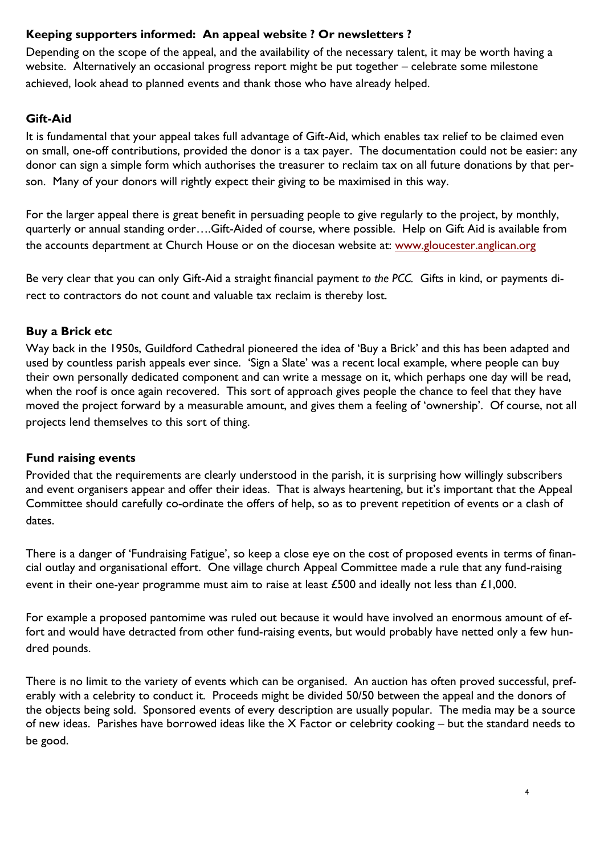## **Keeping supporters informed: An appeal website ? Or newsletters ?**

Depending on the scope of the appeal, and the availability of the necessary talent, it may be worth having a website. Alternatively an occasional progress report might be put together – celebrate some milestone achieved, look ahead to planned events and thank those who have already helped.

## **Gift-Aid**

It is fundamental that your appeal takes full advantage of Gift-Aid, which enables tax relief to be claimed even on small, one-off contributions, provided the donor is a tax payer. The documentation could not be easier: any donor can sign a simple form which authorises the treasurer to reclaim tax on all future donations by that person. Many of your donors will rightly expect their giving to be maximised in this way.

For the larger appeal there is great benefit in persuading people to give regularly to the project, by monthly, quarterly or annual standing order….Gift-Aided of course, where possible. Help on Gift Aid is available from the accounts department at Church House or on the diocesan website at: www.gloucester.anglican.org

Be very clear that you can only Gift-Aid a straight financial payment *to the PCC.* Gifts in kind, or payments direct to contractors do not count and valuable tax reclaim is thereby lost.

## **Buy a Brick etc**

Way back in the 1950s, Guildford Cathedral pioneered the idea of 'Buy a Brick' and this has been adapted and used by countless parish appeals ever since. 'Sign a Slate' was a recent local example, where people can buy their own personally dedicated component and can write a message on it, which perhaps one day will be read, when the roof is once again recovered. This sort of approach gives people the chance to feel that they have moved the project forward by a measurable amount, and gives them a feeling of 'ownership'. Of course, not all projects lend themselves to this sort of thing.

#### **Fund raising events**

Provided that the requirements are clearly understood in the parish, it is surprising how willingly subscribers and event organisers appear and offer their ideas. That is always heartening, but it's important that the Appeal Committee should carefully co-ordinate the offers of help, so as to prevent repetition of events or a clash of dates.

There is a danger of 'Fundraising Fatigue', so keep a close eye on the cost of proposed events in terms of financial outlay and organisational effort. One village church Appeal Committee made a rule that any fund-raising event in their one-year programme must aim to raise at least £500 and ideally not less than £1,000.

For example a proposed pantomime was ruled out because it would have involved an enormous amount of effort and would have detracted from other fund-raising events, but would probably have netted only a few hundred pounds.

There is no limit to the variety of events which can be organised. An auction has often proved successful, preferably with a celebrity to conduct it. Proceeds might be divided 50/50 between the appeal and the donors of the objects being sold. Sponsored events of every description are usually popular. The media may be a source of new ideas. Parishes have borrowed ideas like the X Factor or celebrity cooking – but the standard needs to be good.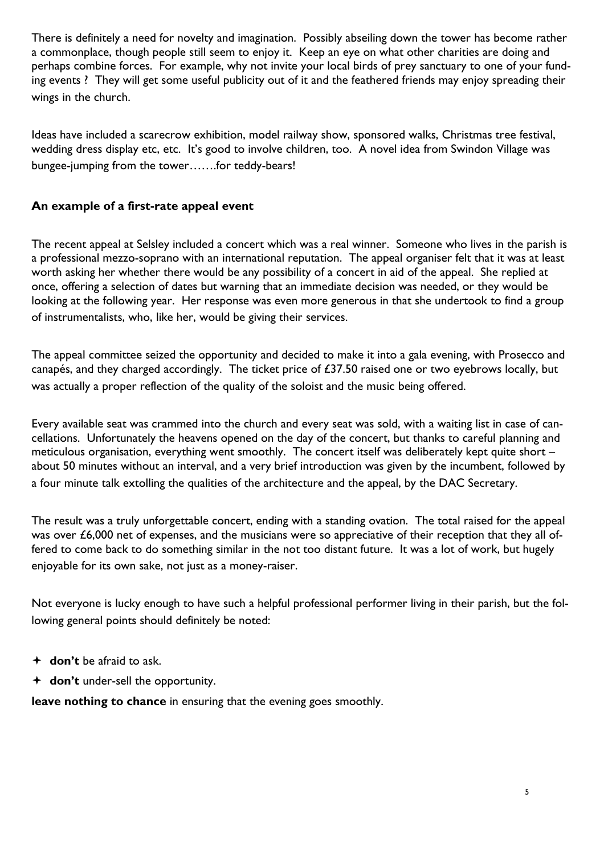There is definitely a need for novelty and imagination. Possibly abseiling down the tower has become rather a commonplace, though people still seem to enjoy it. Keep an eye on what other charities are doing and perhaps combine forces. For example, why not invite your local birds of prey sanctuary to one of your funding events ? They will get some useful publicity out of it and the feathered friends may enjoy spreading their wings in the church.

Ideas have included a scarecrow exhibition, model railway show, sponsored walks, Christmas tree festival, wedding dress display etc, etc. It's good to involve children, too. A novel idea from Swindon Village was bungee-jumping from the tower…….for teddy-bears!

## **An example of a first-rate appeal event**

The recent appeal at Selsley included a concert which was a real winner. Someone who lives in the parish is a professional mezzo-soprano with an international reputation. The appeal organiser felt that it was at least worth asking her whether there would be any possibility of a concert in aid of the appeal. She replied at once, offering a selection of dates but warning that an immediate decision was needed, or they would be looking at the following year. Her response was even more generous in that she undertook to find a group of instrumentalists, who, like her, would be giving their services.

The appeal committee seized the opportunity and decided to make it into a gala evening, with Prosecco and canapés, and they charged accordingly. The ticket price of £37.50 raised one or two eyebrows locally, but was actually a proper reflection of the quality of the soloist and the music being offered.

Every available seat was crammed into the church and every seat was sold, with a waiting list in case of cancellations. Unfortunately the heavens opened on the day of the concert, but thanks to careful planning and meticulous organisation, everything went smoothly. The concert itself was deliberately kept quite short – about 50 minutes without an interval, and a very brief introduction was given by the incumbent, followed by a four minute talk extolling the qualities of the architecture and the appeal, by the DAC Secretary.

The result was a truly unforgettable concert, ending with a standing ovation. The total raised for the appeal was over £6,000 net of expenses, and the musicians were so appreciative of their reception that they all offered to come back to do something similar in the not too distant future. It was a lot of work, but hugely enjoyable for its own sake, not just as a money-raiser.

Not everyone is lucky enough to have such a helpful professional performer living in their parish, but the following general points should definitely be noted:

- **don't** be afraid to ask.
- **don't** under-sell the opportunity.

**leave nothing to chance** in ensuring that the evening goes smoothly.